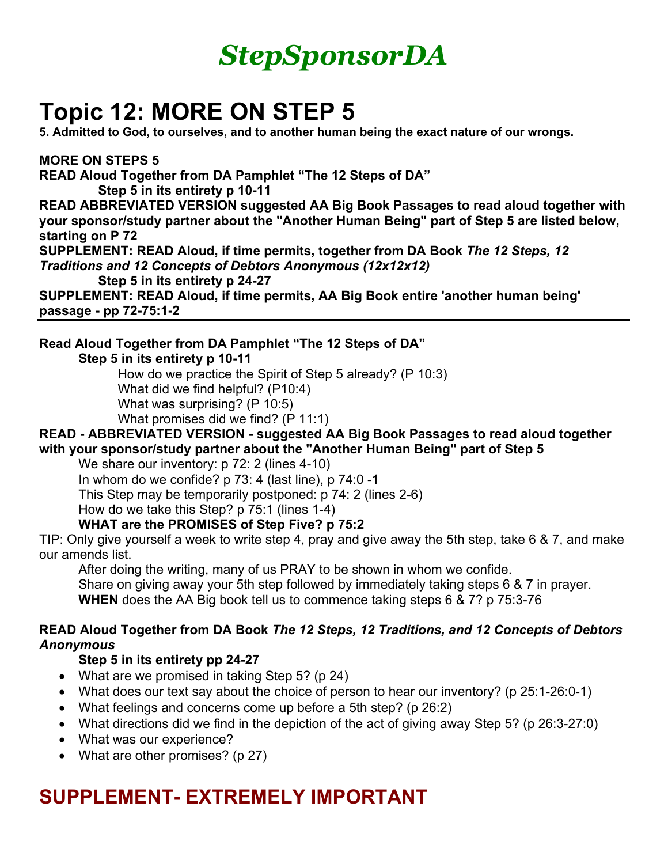

# **Topic 12: MORE ON STEP 5**

**5. Admitted to God, to ourselves, and to another human being the exact nature of our wrongs.** 

**MORE ON STEPS 5 READ Aloud Together from DA Pamphlet "The 12 Steps of DA" Step 5 in its entirety p 10-11**

**READ ABBREVIATED VERSION suggested AA Big Book Passages to read aloud together with your sponsor/study partner about the "Another Human Being" part of Step 5 are listed below, starting on P 72**

**SUPPLEMENT: READ Aloud, if time permits, together from DA Book** *The 12 Steps, 12 Traditions and 12 Concepts of Debtors Anonymous (12x12x12)*

**Step 5 in its entirety p 24-27** 

**SUPPLEMENT: READ Aloud, if time permits, AA Big Book entire 'another human being' passage - pp 72-75:1-2**

## **Read Aloud Together from DA Pamphlet "The 12 Steps of DA"**

**Step 5 in its entirety p 10-11**

How do we practice the Spirit of Step 5 already? (P 10:3)

What did we find helpful? (P10:4)

What was surprising? (P 10:5)

What promises did we find? (P 11:1)

#### **READ - ABBREVIATED VERSION - suggested AA Big Book Passages to read aloud together with your sponsor/study partner about the "Another Human Being" part of Step 5**

We share our inventory: p 72: 2 (lines 4-10)

In whom do we confide? p 73: 4 (last line), p 74:0 -1

This Step may be temporarily postponed: p 74: 2 (lines 2-6)

How do we take this Step? p 75:1 (lines 1-4)

## **WHAT are the PROMISES of Step Five? p 75:2**

TIP: Only give yourself a week to write step 4, pray and give away the 5th step, take 6 & 7, and make our amends list.

After doing the writing, many of us PRAY to be shown in whom we confide. Share on giving away your 5th step followed by immediately taking steps 6 & 7 in prayer. **WHEN** does the AA Big book tell us to commence taking steps 6 & 7? p 75:3-76

## **READ Aloud Together from DA Book** *The 12 Steps, 12 Traditions, and 12 Concepts of Debtors Anonymous*

## **Step 5 in its entirety pp 24-27**

- What are we promised in taking Step 5? (p 24)
- What does our text say about the choice of person to hear our inventory? (p 25:1-26:0-1)
- What feelings and concerns come up before a 5th step? (p 26:2)
- What directions did we find in the depiction of the act of giving away Step 5? (p 26:3-27:0)
- What was our experience?
- What are other promises? (p 27)

# **SUPPLEMENT- EXTREMELY IMPORTANT**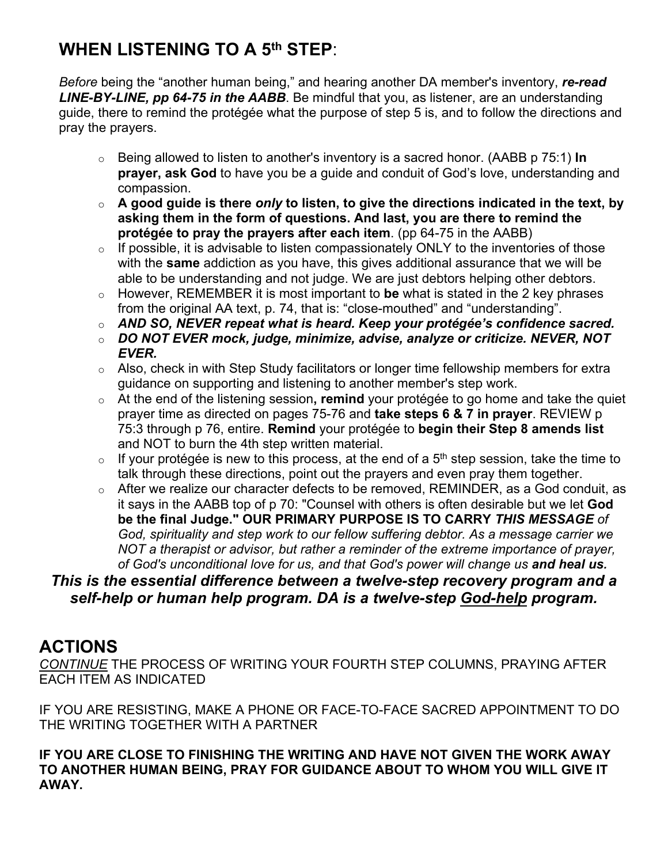## **WHEN LISTENING TO A 5th STEP**:

*Before* being the "another human being," and hearing another DA member's inventory, *re-read LINE-BY-LINE, pp 64-75 in the AABB*. Be mindful that you, as listener, are an understanding guide, there to remind the protégée what the purpose of step 5 is, and to follow the directions and pray the prayers.

- o Being allowed to listen to another's inventory is a sacred honor. (AABB p 75:1) **In prayer, ask God** to have you be a guide and conduit of God's love, understanding and compassion.
- o **A good guide is there** *only* **to listen, to give the directions indicated in the text, by asking them in the form of questions. And last, you are there to remind the protégée to pray the prayers after each item**. (pp 64-75 in the AABB)
- $\circ$  If possible, it is advisable to listen compassionately ONLY to the inventories of those with the **same** addiction as you have, this gives additional assurance that we will be able to be understanding and not judge. We are just debtors helping other debtors.
- o However, REMEMBER it is most important to **be** what is stated in the 2 key phrases from the original AA text, p. 74, that is: "close-mouthed" and "understanding".
- o *AND SO, NEVER repeat what is heard. Keep your protégée's confidence sacred.*
- o *DO NOT EVER mock, judge, minimize, advise, analyze or criticize. NEVER, NOT EVER.*
- o Also, check in with Step Study facilitators or longer time fellowship members for extra guidance on supporting and listening to another member's step work.
- o At the end of the listening session**, remind** your protégée to go home and take the quiet prayer time as directed on pages 75-76 and **take steps 6 & 7 in prayer**. REVIEW p 75:3 through p 76, entire. **Remind** your protégée to **begin their Step 8 amends list**  and NOT to burn the 4th step written material.
- $\circ$  If your protégée is new to this process, at the end of a 5<sup>th</sup> step session, take the time to talk through these directions, point out the prayers and even pray them together.
- o After we realize our character defects to be removed, REMINDER, as a God conduit, as it says in the AABB top of p 70: "Counsel with others is often desirable but we let **God be the final Judge." OUR PRIMARY PURPOSE IS TO CARRY** *THIS MESSAGE of God, spirituality and step work to our fellow suffering debtor. As a message carrier we NOT a therapist or advisor, but rather a reminder of the extreme importance of prayer, of God's unconditional love for us, and that God's power will change us and heal us.*

## *This is the essential difference between a twelve-step recovery program and a self-help or human help program. DA is a twelve-step God-help program.*

## **ACTIONS**

*CONTINUE* THE PROCESS OF WRITING YOUR FOURTH STEP COLUMNS, PRAYING AFTER EACH ITEM AS INDICATED

IF YOU ARE RESISTING, MAKE A PHONE OR FACE-TO-FACE SACRED APPOINTMENT TO DO THE WRITING TOGETHER WITH A PARTNER

**IF YOU ARE CLOSE TO FINISHING THE WRITING AND HAVE NOT GIVEN THE WORK AWAY TO ANOTHER HUMAN BEING, PRAY FOR GUIDANCE ABOUT TO WHOM YOU WILL GIVE IT AWAY.**